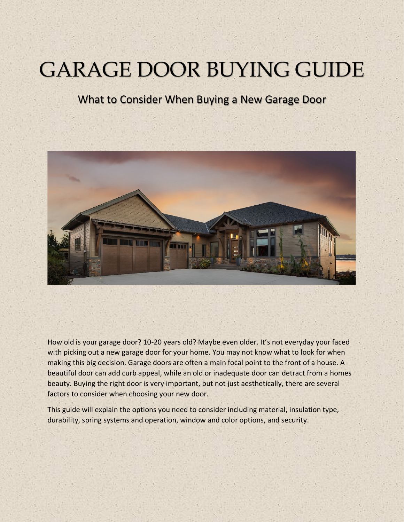# **GARAGE DOOR BUYING GUIDE**

## What to Consider When Buying a New Garage Door



How old is your garage door? 10-20 years old? Maybe even older. It's not everyday your faced with picking out a new garage door for your home. You may not know what to look for when making this big decision. Garage doors are often a main focal point to the front of a house. A beautiful door can add curb appeal, while an old or inadequate door can detract from a homes beauty. Buying the right door is very important, but not just aesthetically, there are several factors to consider when choosing your new door.

This guide will explain the options you need to consider including material, insulation type, durability, spring systems and operation, window and color options, and security.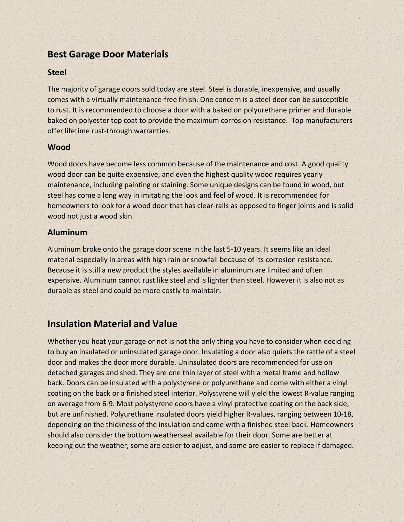## **Best Garage Door Materials**

#### **Steel**

The majority of garage doors sold today are steel. Steel is durable, inexpensive, and usually comes with a virtually maintenance-free finish. One concern is a steel door can be susceptible to rust. It is recommended to choose a door with a baked on polyurethane primer and durable baked on polyester top coat to provide the maximum corrosion resistance. Top manufacturers offer lifetime rust-through warranties.

#### **Wood**

Wood doors have become less common because of the maintenance and cost. A good quality wood door can be quite expensive, and even the highest quality wood requires yearly maintenance, including painting or staining. Some unique designs can be found in wood, but steel has come a long way in imitating the look and feel of wood. It is recommended for homeowners to look for a wood door that has clear-rails as opposed to finger joints and is solid wood not just a wood skin.

#### **Aluminum**

Aluminum broke onto the garage door scene in the last 5-10 years. It seems like an ideal material especially in areas with high rain or snowfall because of its corrosion resistance. Because it is still a new product the styles available in aluminum are limited and often expensive. Aluminum cannot rust like steel and is lighter than steel. However it is also not as durable as steel and could be more costly to maintain.

## **Insulation Material and Value**

Whether you heat your garage or not is not the only thing you have to consider when deciding to buy an insulated or uninsulated garage door. Insulating a door also quiets the rattle of a steel door and makes the door more durable. Uninsulated doors are recommended for use on detached garages and shed. They are one thin layer of steel with a metal frame and hollow back. Doors can be insulated with a polystyrene or polyurethane and come with either a vinyl coating on the back or a finished steel interior. Polystyrene will yield the lowest R-value ranging on average from 6-9. Most polystyrene doors have a vinyl protective coating on the back side, but are unfinished. Polyurethane insulated doors yield higher R-values, ranging between 10-18, depending on the thickness of the insulation and come with a finished steel back. Homeowners should also consider the bottom weatherseal available for their door. Some are better at keeping out the weather, some are easier to adjust, and some are easier to replace if damaged.